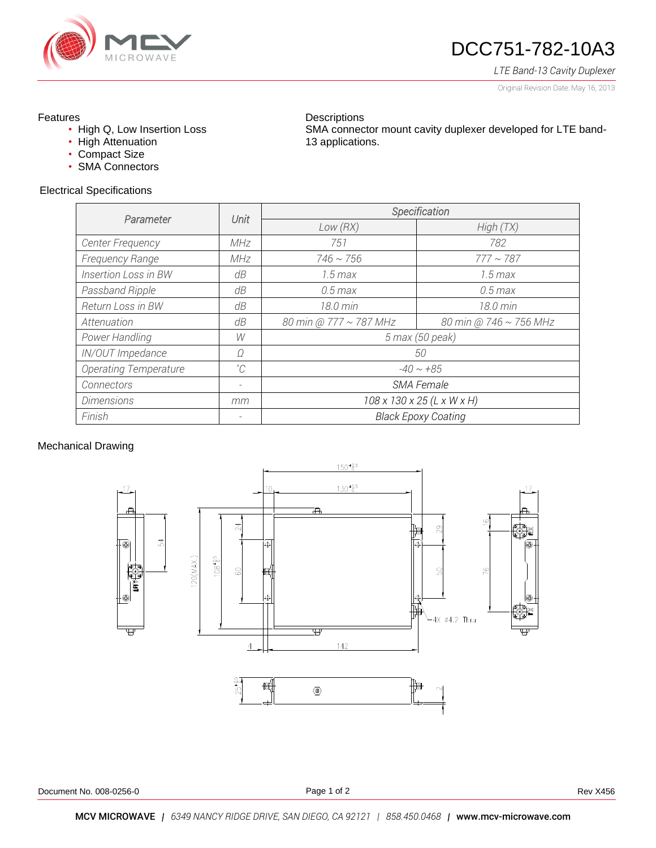

# DCC751-782-10A3

SMA connector mount cavity duplexer developed for LTE band-

## *LTE Band-13 Cavity Duplexer*

Original Revision Date: May 16, 2013

## Features

- High Q, Low Insertion Loss
- High Attenuation
- Compact Size
- SMA Connectors

## Electrical Specifications

| Parameter                    | Unit | Specification              |                        |
|------------------------------|------|----------------------------|------------------------|
|                              |      | Low(RX)                    | High(TX)               |
| Center Frequency             | MHz  | 751                        | 782                    |
| Frequency Range              | MHz  | $746 \sim 756$             | $777 \sim 787$         |
| <b>Insertion Loss in BW</b>  | dB   | $1.5 \, max$               | $1.5 \, max$           |
| Passband Ripple              | dB   | $0.5$ max                  | $0.5$ max              |
| <b>Return Loss in BW</b>     | dB   | 18.0 min                   | 18.0 min               |
| Attenuation                  | dB   | 80 min @ 777 ~ 787 MHz     | 80 min @ 746 ~ 756 MHz |
| Power Handling               | W    | 5 max (50 peak)            |                        |
| IN/OUT Impedance             | Ω    | 50                         |                        |
| <b>Operating Temperature</b> | °C   | $-40 \sim +85$             |                        |
| Connectors                   |      | SMA Female                 |                        |
| <b>Dimensions</b>            | mm   | 108 x 130 x 25 (L x W x H) |                        |
| Finish                       |      | <b>Black Epoxy Coating</b> |                        |

**Descriptions** 

13 applications.

#### Mechanical Drawing